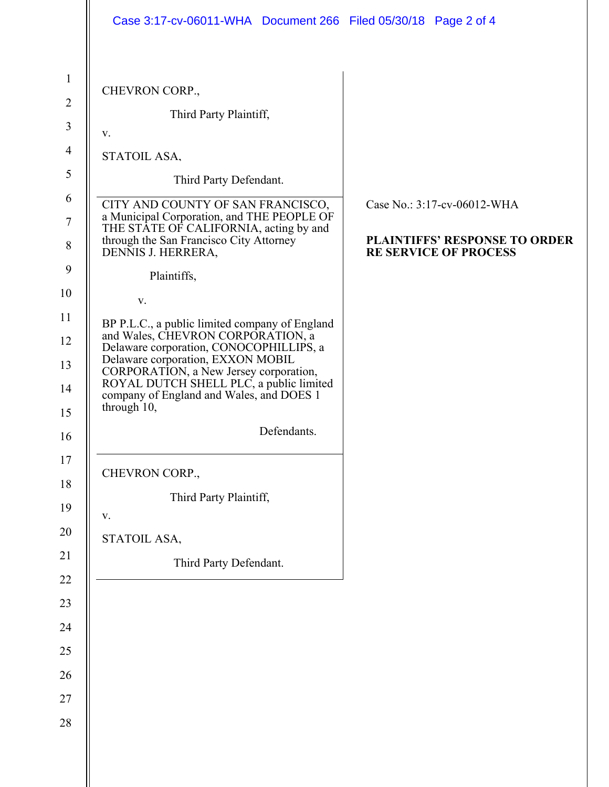| CHEVRON CORP.,                                                                                                                               |                                                                      |
|----------------------------------------------------------------------------------------------------------------------------------------------|----------------------------------------------------------------------|
| Third Party Plaintiff,<br>V.                                                                                                                 |                                                                      |
| STATOIL ASA,                                                                                                                                 |                                                                      |
| Third Party Defendant.                                                                                                                       |                                                                      |
| CITY AND COUNTY OF SAN FRANCISCO,<br>a Municipal Corporation, and THE PEOPLE OF                                                              | Case No.: 3:17-cv-06012-WHA                                          |
| THE STATE OF CALIFORNIA, acting by and<br>through the San Francisco City Attorney<br>DENNIS J. HERRERA,                                      | <b>PLAINTIFFS' RESPONSE TO ORDER</b><br><b>RE SERVICE OF PROCESS</b> |
| Plaintiffs,                                                                                                                                  |                                                                      |
| V.                                                                                                                                           |                                                                      |
| BP P.L.C., a public limited company of England<br>and Wales, CHEVRON CORPORATION, a                                                          |                                                                      |
| Delaware corporation, CONOCOPHILLIPS, a<br>Delaware corporation, EXXON MOBIL                                                                 |                                                                      |
| CORPORATION, a New Jersey corporation,<br>ROYAL DUTCH SHELL PLC, a public limited<br>company of England and Wales, and DOES 1<br>through 10, |                                                                      |
| Defendants.                                                                                                                                  |                                                                      |
| CHEVRON CORP.,                                                                                                                               |                                                                      |
| Third Party Plaintiff,                                                                                                                       |                                                                      |
| $\mathbf{V}$ .                                                                                                                               |                                                                      |
| STATOIL ASA,                                                                                                                                 |                                                                      |
| Third Party Defendant.                                                                                                                       |                                                                      |
|                                                                                                                                              |                                                                      |
|                                                                                                                                              |                                                                      |
|                                                                                                                                              |                                                                      |
|                                                                                                                                              |                                                                      |
|                                                                                                                                              |                                                                      |
|                                                                                                                                              |                                                                      |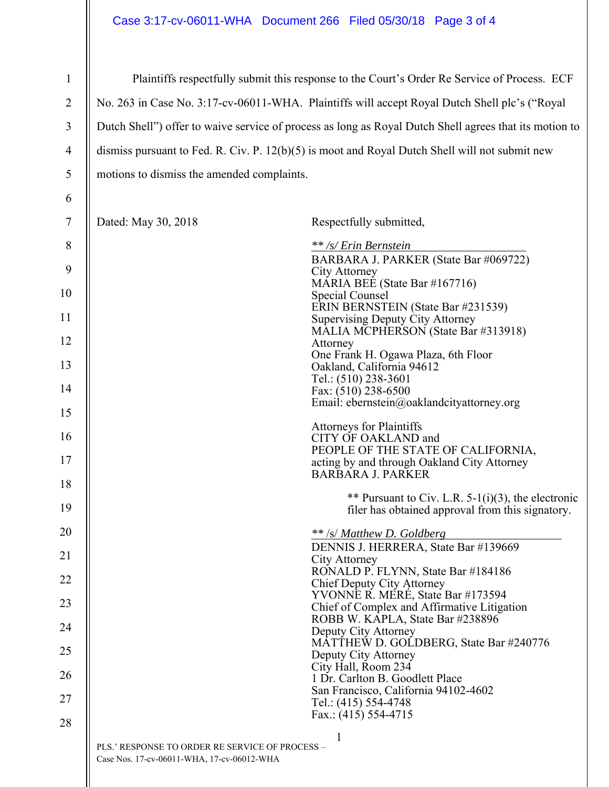## Case 3:17-cv-06011-WHA Document 266 Filed 05/30/18 Page 3 of 4

| $\mathbf{1}$                             |                                                                                                        | Plaintiffs respectfully submit this response to the Court's Order Re Service of Process. ECF                                                                                                                                                                                                                                                                                                                                                   |
|------------------------------------------|--------------------------------------------------------------------------------------------------------|------------------------------------------------------------------------------------------------------------------------------------------------------------------------------------------------------------------------------------------------------------------------------------------------------------------------------------------------------------------------------------------------------------------------------------------------|
| $\overline{2}$                           |                                                                                                        | No. 263 in Case No. 3:17-cv-06011-WHA. Plaintiffs will accept Royal Dutch Shell plc's ("Royal                                                                                                                                                                                                                                                                                                                                                  |
| 3                                        | Dutch Shell") offer to waive service of process as long as Royal Dutch Shell agrees that its motion to |                                                                                                                                                                                                                                                                                                                                                                                                                                                |
| $\overline{4}$                           | dismiss pursuant to Fed. R. Civ. P. $12(b)(5)$ is moot and Royal Dutch Shell will not submit new       |                                                                                                                                                                                                                                                                                                                                                                                                                                                |
| $\mathfrak{S}$                           | motions to dismiss the amended complaints.                                                             |                                                                                                                                                                                                                                                                                                                                                                                                                                                |
| 6                                        |                                                                                                        |                                                                                                                                                                                                                                                                                                                                                                                                                                                |
| 7                                        | Dated: May 30, 2018                                                                                    | Respectfully submitted,                                                                                                                                                                                                                                                                                                                                                                                                                        |
| $8\,$<br>9<br>10<br>11<br>12<br>13<br>14 |                                                                                                        | ** /s/ Erin Bernstein<br>BARBARA J. PARKER (State Bar #069722)<br><b>City Attorney</b><br>MARIA BEE (State Bar #167716)<br>Special Counsel<br>ERIN BERNSTEIN (State Bar #231539)<br><b>Supervising Deputy City Attorney</b><br>MALIA MCPHERSON (State Bar #313918)<br>Attorney<br>One Frank H. Ogawa Plaza, 6th Floor<br>Oakland, California 94612<br>Tel.: (510) 238-3601<br>Fax: (510) 238-6500<br>Email: ebernstein@oaklandcityattorney.org |
| 15<br>16<br>17                           |                                                                                                        | <b>Attorneys for Plaintiffs</b><br>CITY OF OAKLAND and<br>PEOPLE OF THE STATE OF CALIFORNIA,<br>acting by and through Oakland City Attorney<br><b>BARBARA J. PARKER</b>                                                                                                                                                                                                                                                                        |
| 18<br>19                                 |                                                                                                        | ** Pursuant to Civ. L.R. $5-1(i)(3)$ , the electronic<br>filer has obtained approval from this signatory.                                                                                                                                                                                                                                                                                                                                      |
| 20                                       |                                                                                                        | ** /s/ Matthew D. Goldberg<br>DENNIS J. HERRERA, State Bar #139669                                                                                                                                                                                                                                                                                                                                                                             |
| 21                                       |                                                                                                        | City Attorney<br>RONALD P. FLYNN, State Bar #184186                                                                                                                                                                                                                                                                                                                                                                                            |
| 22                                       |                                                                                                        | Chief Deputy City Attorney<br>YVONNE R. MERÉ, State Bar #173594                                                                                                                                                                                                                                                                                                                                                                                |
| 23                                       |                                                                                                        | Chief of Complex and Affirmative Litigation<br>ROBB W. KAPLA, State Bar #238896                                                                                                                                                                                                                                                                                                                                                                |
| 24                                       |                                                                                                        | Deputy City Attorney<br>MATTHEW D. GOLDBERG, State Bar #240776                                                                                                                                                                                                                                                                                                                                                                                 |
| 25                                       |                                                                                                        | Deputy City Attorney<br>City Hall, Room 234                                                                                                                                                                                                                                                                                                                                                                                                    |
| 26                                       |                                                                                                        | 1 Dr. Carlton B. Goodlett Place<br>San Francisco, California 94102-4602                                                                                                                                                                                                                                                                                                                                                                        |
| 27<br>28                                 |                                                                                                        | Tel.: (415) 554-4748<br>Fax.: (415) 554-4715                                                                                                                                                                                                                                                                                                                                                                                                   |
|                                          | PLS.' RESPONSE TO ORDER RE SERVICE OF PROCESS -<br>Case Nos. 17-cv-06011-WHA, 17-cv-06012-WHA          |                                                                                                                                                                                                                                                                                                                                                                                                                                                |